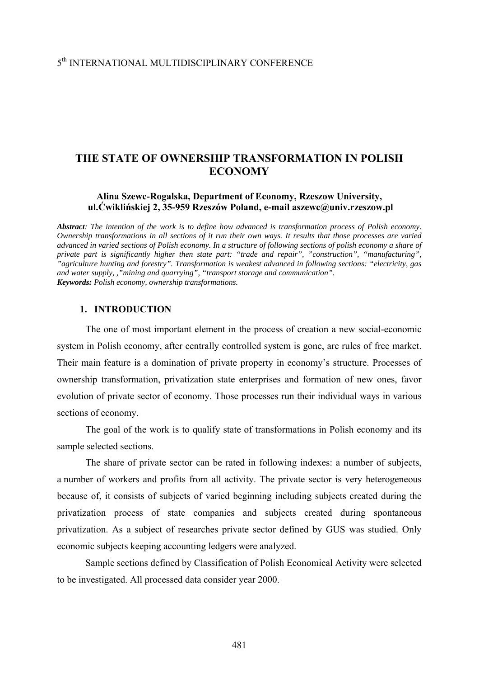## 5th INTERNATIONAL MULTIDISCIPLINARY CONFERENCE

# **THE STATE OF OWNERSHIP TRANSFORMATION IN POLISH ECONOMY**

#### **Alina Szewc-Rogalska, Department of Economy, Rzeszow University, ul.Ćwiklińskiej 2, 35-959 Rzeszów Poland, e-mail aszewc@univ.rzeszow.pl**

*Abstract: The intention of the work is to define how advanced is transformation process of Polish economy. Ownership transformations in all sections of it run their own ways. It results that those processes are varied advanced in varied sections of Polish economy. In a structure of following sections of polish economy a share of private part is significantly higher then state part: "trade and repair", "construction", "manufacturing", "agriculture hunting and forestry". Transformation is weakest advanced in following sections: "electricity, gas and water supply, ,"mining and quarrying", "transport storage and communication". Keywords: Polish economy, ownership transformations.* 

#### **1. INTRODUCTION**

The one of most important element in the process of creation a new social-economic system in Polish economy, after centrally controlled system is gone, are rules of free market. Their main feature is a domination of private property in economy's structure. Processes of ownership transformation, privatization state enterprises and formation of new ones, favor evolution of private sector of economy. Those processes run their individual ways in various sections of economy.

The goal of the work is to qualify state of transformations in Polish economy and its sample selected sections.

The share of private sector can be rated in following indexes: a number of subjects, a number of workers and profits from all activity. The private sector is very heterogeneous because of, it consists of subjects of varied beginning including subjects created during the privatization process of state companies and subjects created during spontaneous privatization. As a subject of researches private sector defined by GUS was studied. Only economic subjects keeping accounting ledgers were analyzed.

Sample sections defined by Classification of Polish Economical Activity were selected to be investigated. All processed data consider year 2000.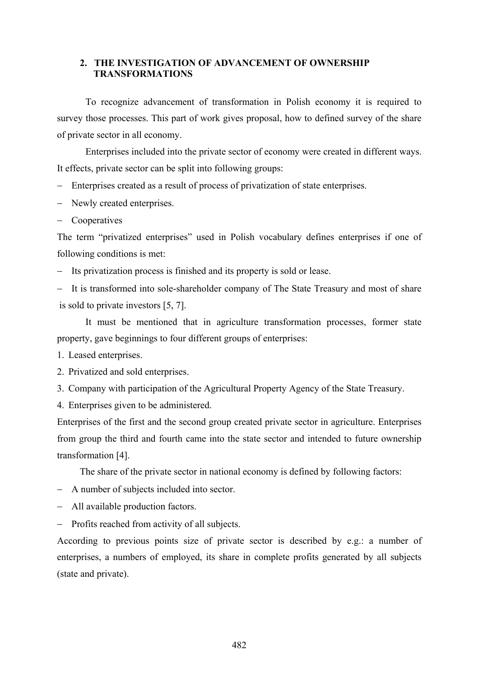### **2. THE INVESTIGATION OF ADVANCEMENT OF OWNERSHIP TRANSFORMATIONS**

To recognize advancement of transformation in Polish economy it is required to survey those processes. This part of work gives proposal, how to defined survey of the share of private sector in all economy.

Enterprises included into the private sector of economy were created in different ways. It effects, private sector can be split into following groups:

- − Enterprises created as a result of process of privatization of state enterprises.
- − Newly created enterprises.
- − Cooperatives

The term "privatized enterprises" used in Polish vocabulary defines enterprises if one of following conditions is met:

- − Its privatization process is finished and its property is sold or lease.
- − It is transformed into sole-shareholder company of The State Treasury and most of share is sold to private investors [5, 7].

It must be mentioned that in agriculture transformation processes, former state property, gave beginnings to four different groups of enterprises:

- 1. Leased enterprises.
- 2. Privatized and sold enterprises.
- 3. Company with participation of the Agricultural Property Agency of the State Treasury.
- 4. Enterprises given to be administered.

Enterprises of the first and the second group created private sector in agriculture. Enterprises from group the third and fourth came into the state sector and intended to future ownership transformation [4].

The share of the private sector in national economy is defined by following factors:

- − A number of subjects included into sector.
- − All available production factors.
- − Profits reached from activity of all subjects.

According to previous points size of private sector is described by e.g.: a number of enterprises, a numbers of employed, its share in complete profits generated by all subjects (state and private).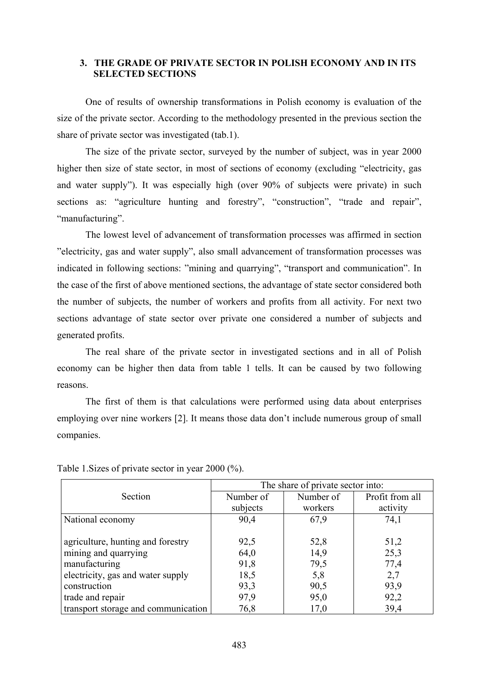### **3. THE GRADE OF PRIVATE SECTOR IN POLISH ECONOMY AND IN ITS SELECTED SECTIONS**

One of results of ownership transformations in Polish economy is evaluation of the size of the private sector. According to the methodology presented in the previous section the share of private sector was investigated (tab.1).

The size of the private sector, surveyed by the number of subject, was in year 2000 higher then size of state sector, in most of sections of economy (excluding "electricity, gas and water supply"). It was especially high (over 90% of subjects were private) in such sections as: "agriculture hunting and forestry", "construction", "trade and repair", "manufacturing".

The lowest level of advancement of transformation processes was affirmed in section "electricity, gas and water supply", also small advancement of transformation processes was indicated in following sections: "mining and quarrying", "transport and communication". In the case of the first of above mentioned sections, the advantage of state sector considered both the number of subjects, the number of workers and profits from all activity. For next two sections advantage of state sector over private one considered a number of subjects and generated profits.

The real share of the private sector in investigated sections and in all of Polish economy can be higher then data from table 1 tells. It can be caused by two following reasons.

The first of them is that calculations were performed using data about enterprises employing over nine workers [2]. It means those data don't include numerous group of small companies.

|                                     | The share of private sector into: |           |                 |
|-------------------------------------|-----------------------------------|-----------|-----------------|
| Section                             | Number of                         | Number of | Profit from all |
|                                     | subjects                          | workers   | activity        |
| National economy                    | 90,4                              | 67,9      | 74,1            |
|                                     |                                   |           |                 |
| agriculture, hunting and forestry   | 92,5                              | 52,8      | 51,2            |
| mining and quarrying                | 64,0                              | 14,9      | 25,3            |
| manufacturing                       | 91,8                              | 79,5      | 77,4            |
| electricity, gas and water supply   | 18,5                              | 5,8       | 2,7             |
| construction                        | 93,3                              | 90,5      | 93,9            |
| trade and repair                    | 97,9                              | 95,0      | 92,2            |
| transport storage and communication | 76,8                              | 17,0      | 39,4            |

Table 1.Sizes of private sector in year 2000 (%).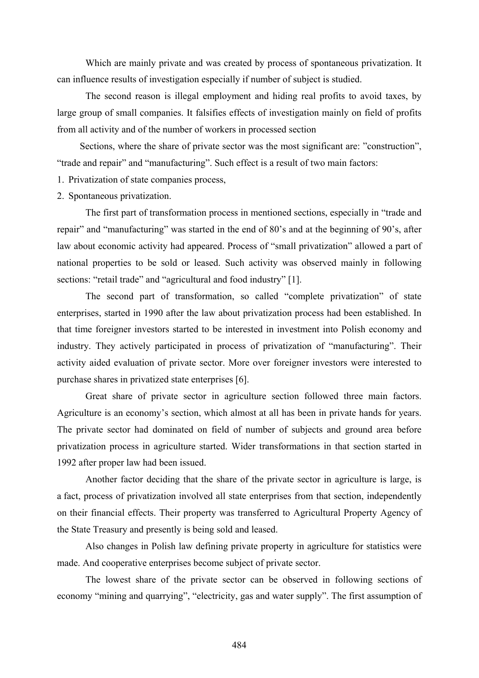Which are mainly private and was created by process of spontaneous privatization. It can influence results of investigation especially if number of subject is studied.

The second reason is illegal employment and hiding real profits to avoid taxes, by large group of small companies. It falsifies effects of investigation mainly on field of profits from all activity and of the number of workers in processed section

Sections, where the share of private sector was the most significant are: "construction", "trade and repair" and "manufacturing". Such effect is a result of two main factors:

- 1. Privatization of state companies process,
- 2. Spontaneous privatization.

The first part of transformation process in mentioned sections, especially in "trade and repair" and "manufacturing" was started in the end of 80's and at the beginning of 90's, after law about economic activity had appeared. Process of "small privatization" allowed a part of national properties to be sold or leased. Such activity was observed mainly in following sections: "retail trade" and "agricultural and food industry" [1].

The second part of transformation, so called "complete privatization" of state enterprises, started in 1990 after the law about privatization process had been established. In that time foreigner investors started to be interested in investment into Polish economy and industry. They actively participated in process of privatization of "manufacturing". Their activity aided evaluation of private sector. More over foreigner investors were interested to purchase shares in privatized state enterprises [6].

Great share of private sector in agriculture section followed three main factors. Agriculture is an economy's section, which almost at all has been in private hands for years. The private sector had dominated on field of number of subjects and ground area before privatization process in agriculture started. Wider transformations in that section started in 1992 after proper law had been issued.

Another factor deciding that the share of the private sector in agriculture is large, is a fact, process of privatization involved all state enterprises from that section, independently on their financial effects. Their property was transferred to Agricultural Property Agency of the State Treasury and presently is being sold and leased.

Also changes in Polish law defining private property in agriculture for statistics were made. And cooperative enterprises become subject of private sector.

The lowest share of the private sector can be observed in following sections of economy "mining and quarrying", "electricity, gas and water supply". The first assumption of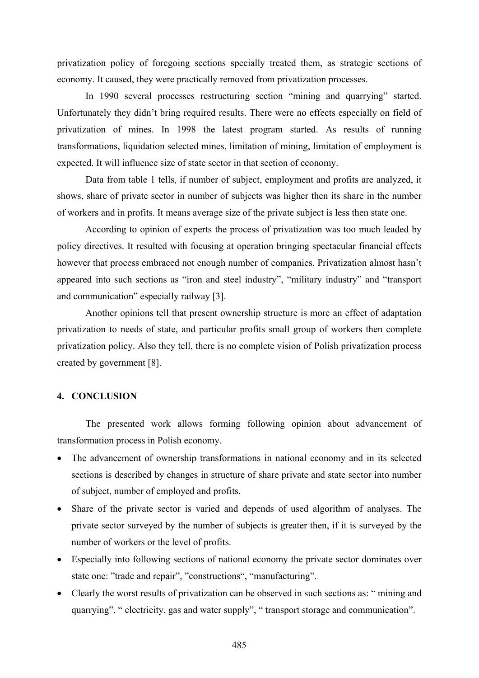privatization policy of foregoing sections specially treated them, as strategic sections of economy. It caused, they were practically removed from privatization processes.

In 1990 several processes restructuring section "mining and quarrying" started. Unfortunately they didn't bring required results. There were no effects especially on field of privatization of mines. In 1998 the latest program started. As results of running transformations, liquidation selected mines, limitation of mining, limitation of employment is expected. It will influence size of state sector in that section of economy.

Data from table 1 tells, if number of subject, employment and profits are analyzed, it shows, share of private sector in number of subjects was higher then its share in the number of workers and in profits. It means average size of the private subject is less then state one.

According to opinion of experts the process of privatization was too much leaded by policy directives. It resulted with focusing at operation bringing spectacular financial effects however that process embraced not enough number of companies. Privatization almost hasn't appeared into such sections as "iron and steel industry", "military industry" and "transport and communication" especially railway [3].

Another opinions tell that present ownership structure is more an effect of adaptation privatization to needs of state, and particular profits small group of workers then complete privatization policy. Also they tell, there is no complete vision of Polish privatization process created by government [8].

### **4. CONCLUSION**

The presented work allows forming following opinion about advancement of transformation process in Polish economy.

- The advancement of ownership transformations in national economy and in its selected sections is described by changes in structure of share private and state sector into number of subject, number of employed and profits.
- Share of the private sector is varied and depends of used algorithm of analyses. The private sector surveyed by the number of subjects is greater then, if it is surveyed by the number of workers or the level of profits.
- Especially into following sections of national economy the private sector dominates over state one: "trade and repair", "constructions", "manufacturing".
- Clearly the worst results of privatization can be observed in such sections as: " mining and quarrying", " electricity, gas and water supply", " transport storage and communication".